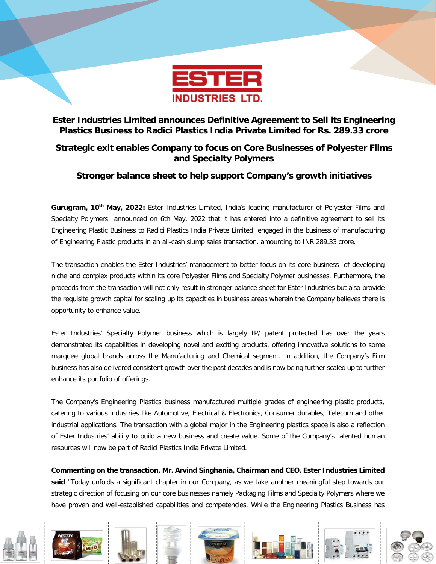

# **Ester Industries Limited announces Definitive Agreement to Sell its Engineering Plastics Business to Radici Plastics India Private Limited for Rs. 289.33 crore**

## **Strategic exit enables Company to focus on Core Businesses of Polyester Films and Specialty Polymers**

# **Stronger balance sheet to help support Company's growth initiatives**

**Gurugram, 10th May, 2022:** Ester Industries Limited, India's leading manufacturer of Polyester Films and Specialty Polymers announced on 6th May, 2022 that it has entered into a definitive agreement to sell its Engineering Plastic Business to Radici Plastics India Private Limited, engaged in the business of manufacturing of Engineering Plastic products in an all-cash slump sales transaction, amounting to INR 289.33 crore.

The transaction enables the Ester Industries' management to better focus on its core business of developing niche and complex products within its core Polyester Films and Specialty Polymer businesses. Furthermore, the proceeds from the transaction will not only result in stronger balance sheet for Ester Industries but also provide the requisite growth capital for scaling up its capacities in business areas wherein the Company believes there is opportunity to enhance value.

Ester Industries' Specialty Polymer business which is largely IP/ patent protected has over the years demonstrated its capabilities in developing novel and exciting products, offering innovative solutions to some marquee global brands across the Manufacturing and Chemical segment. In addition, the Company's Film business has also delivered consistent growth over the past decades and is now being further scaled up to further enhance its portfolio of offerings.

The Company's Engineering Plastics business manufactured multiple grades of engineering plastic products, catering to various industries like Automotive, Electrical & Electronics, Consumer durables, Telecom and other industrial applications. The transaction with a global major in the Engineering plastics space is also a reflection of Ester Industries' ability to build a new business and create value. Some of the Company's talented human resources will now be part of Radici Plastics India Private Limited.

**Commenting on the transaction, Mr. Arvind Singhania, Chairman and CEO, Ester Industries Limited**  said "Today unfolds a significant chapter in our Company, as we take another meaningful step towards our strategic direction of focusing on our core businesses namely Packaging Films and Specialty Polymers where we have proven and well-established capabilities and competencies. While the Engineering Plastics Business has